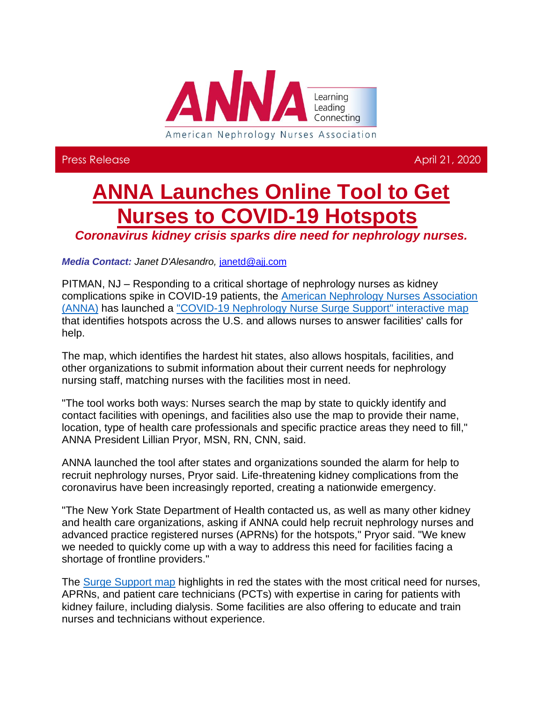

Press Release April 21, 2020

## **[ANNA Launches Online Tool to Get](http://send.annanurse.org/link.cfm?r=8jv1sqFiqYvn3Uisc3ydig~~&pe=y1FSJcwqysvg4I6apTNGjAFOJWlnwo36EWN-kPlMMzf3lFfPGFjKETpJcvdmWnqkO7K5dJIEKIX_RwELHqZAog~~&t=7lr3PdWhWsODjb3wZPU8Qw~~)  [Nurses to COVID-19 Hotspots](http://send.annanurse.org/link.cfm?r=8jv1sqFiqYvn3Uisc3ydig~~&pe=y1FSJcwqysvg4I6apTNGjAFOJWlnwo36EWN-kPlMMzf3lFfPGFjKETpJcvdmWnqkO7K5dJIEKIX_RwELHqZAog~~&t=7lr3PdWhWsODjb3wZPU8Qw~~)**

*[Coronavirus kidney crisis sparks dire need for nephrology nurses.](http://send.annanurse.org/link.cfm?r=8jv1sqFiqYvn3Uisc3ydig~~&pe=y1FSJcwqysvg4I6apTNGjAFOJWlnwo36EWN-kPlMMzf3lFfPGFjKETpJcvdmWnqkO7K5dJIEKIX_RwELHqZAog~~&t=7lr3PdWhWsODjb3wZPU8Qw~~)* 

*Media Contact: Janet D'Alesandro,* [janetd@ajj.com](mailto:janetd@ajj.com)

PITMAN, NJ – Responding to a critical shortage of nephrology nurses as kidney complications spike in COVID-19 patients, the [American Nephrology Nurses Association](http://send.annanurse.org/link.cfm?r=8jv1sqFiqYvn3Uisc3ydig~~&pe=1fw83BddA5E_AkZ7G5RNhcNO5V5G3uxrUvhnvCRdYEUoXJf0H5GugfWyUaklj7GaBxaUbjAnYXa3BksP-K7p4g~~&t=7lr3PdWhWsODjb3wZPU8Qw~~)  [\(ANNA\)](http://send.annanurse.org/link.cfm?r=8jv1sqFiqYvn3Uisc3ydig~~&pe=1fw83BddA5E_AkZ7G5RNhcNO5V5G3uxrUvhnvCRdYEUoXJf0H5GugfWyUaklj7GaBxaUbjAnYXa3BksP-K7p4g~~&t=7lr3PdWhWsODjb3wZPU8Qw~~) has launched a ["COVID-19 Nephrology Nurse Surge Support" interactive map](http://send.annanurse.org/link.cfm?r=8jv1sqFiqYvn3Uisc3ydig~~&pe=Rh97yXEhYdeDoD7zHMqna_cXpUnKmlT5LvwcnzRgJQn_JXkqLRSP1dQbuGWbSvqrEeU8VNk6XY_Ayfqt34N0Pw~~&t=7lr3PdWhWsODjb3wZPU8Qw~~) that identifies hotspots across the U.S. and allows nurses to answer facilities' calls for help.

The map, which identifies the hardest hit states, also allows hospitals, facilities, and other organizations to submit information about their current needs for nephrology nursing staff, matching nurses with the facilities most in need.

"The tool works both ways: Nurses search the map by state to quickly identify and contact facilities with openings, and facilities also use the map to provide their name, location, type of health care professionals and specific practice areas they need to fill," ANNA President Lillian Pryor, MSN, RN, CNN, said.

ANNA launched the tool after states and organizations sounded the alarm for help to recruit nephrology nurses, Pryor said. Life-threatening kidney complications from the coronavirus have been increasingly reported, creating a nationwide emergency.

"The New York State Department of Health contacted us, as well as many other kidney and health care organizations, asking if ANNA could help recruit nephrology nurses and advanced practice registered nurses (APRNs) for the hotspots," Pryor said. "We knew we needed to quickly come up with a way to address this need for facilities facing a shortage of frontline providers."

The [Surge Support map](http://send.annanurse.org/link.cfm?r=8jv1sqFiqYvn3Uisc3ydig~~&pe=fTTxi0n8yjuBdbZ4KMDY3UmTMZvsZgF0-5BNieuyhuEayeHzwR0qB2zmAHOjn-dtYPKk8bSD5eBqeBPs1J8HqA~~&t=7lr3PdWhWsODjb3wZPU8Qw~~) highlights in red the states with the most critical need for nurses, APRNs, and patient care technicians (PCTs) with expertise in caring for patients with kidney failure, including dialysis. Some facilities are also offering to educate and train nurses and technicians without experience.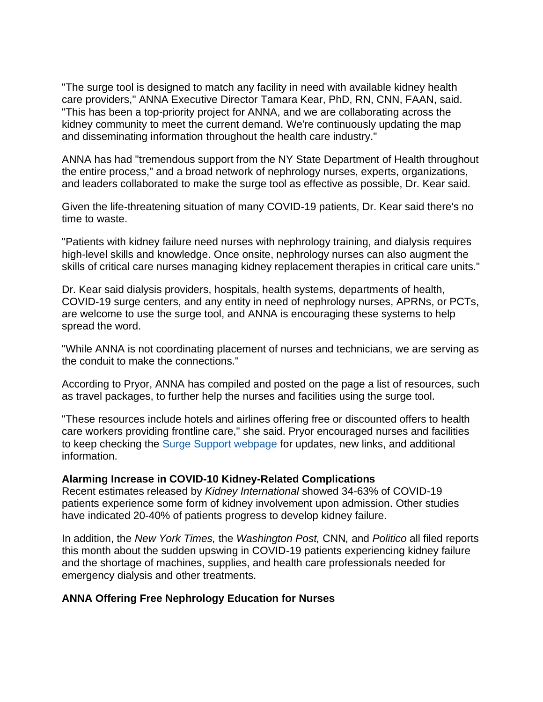"The surge tool is designed to match any facility in need with available kidney health care providers," ANNA Executive Director Tamara Kear, PhD, RN, CNN, FAAN, said. "This has been a top-priority project for ANNA, and we are collaborating across the kidney community to meet the current demand. We're continuously updating the map and disseminating information throughout the health care industry."

ANNA has had "tremendous support from the NY State Department of Health throughout the entire process," and a broad network of nephrology nurses, experts, organizations, and leaders collaborated to make the surge tool as effective as possible, Dr. Kear said.

Given the life-threatening situation of many COVID-19 patients, Dr. Kear said there's no time to waste.

"Patients with kidney failure need nurses with nephrology training, and dialysis requires high-level skills and knowledge. Once onsite, nephrology nurses can also augment the skills of critical care nurses managing kidney replacement therapies in critical care units."

Dr. Kear said dialysis providers, hospitals, health systems, departments of health, COVID-19 surge centers, and any entity in need of nephrology nurses, APRNs, or PCTs, are welcome to use the surge tool, and ANNA is encouraging these systems to help spread the word.

"While ANNA is not coordinating placement of nurses and technicians, we are serving as the conduit to make the connections."

According to Pryor, ANNA has compiled and posted on the page a list of resources, such as travel packages, to further help the nurses and facilities using the surge tool.

"These resources include hotels and airlines offering free or discounted offers to health care workers providing frontline care," she said. Pryor encouraged nurses and facilities to keep checking the [Surge Support webpage](http://send.annanurse.org/link.cfm?r=8jv1sqFiqYvn3Uisc3ydig~~&pe=9ZMAupYYr6FtCF9M1dVN6thTc00Q5sPQf2aKeF8WLe7pjHOQu9TTduOt4jnSnPpRmz1IWLNyid7-IOE974h-QQ~~&t=7lr3PdWhWsODjb3wZPU8Qw~~) for updates, new links, and additional information.

## **Alarming Increase in COVID-10 Kidney-Related Complications**

Recent estimates released by *Kidney International* showed 34-63% of COVID-19 patients experience some form of kidney involvement upon admission. Other studies have indicated 20-40% of patients progress to develop kidney failure.

In addition, the *New York Times,* the *Washington Post,* CNN*,* and *Politico* all filed reports this month about the sudden upswing in COVID-19 patients experiencing kidney failure and the shortage of machines, supplies, and health care professionals needed for emergency dialysis and other treatments.

## **ANNA Offering Free Nephrology Education for Nurses**